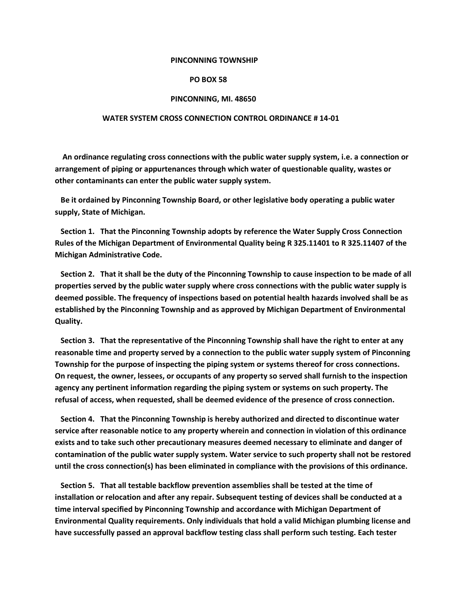#### **PINCONNING TOWNSHIP**

### **PO BOX 58**

#### **PINCONNING, MI. 48650**

#### **WATER SYSTEM CROSS CONNECTION CONTROL ORDINANCE # 14-01**

 **An ordinance regulating cross connections with the public water supply system, i.e. a connection or arrangement of piping or appurtenances through which water of questionable quality, wastes or other contaminants can enter the public water supply system.** 

 **Be it ordained by Pinconning Township Board, or other legislative body operating a public water supply, State of Michigan.**

 **Section 1. That the Pinconning Township adopts by reference the Water Supply Cross Connection Rules of the Michigan Department of Environmental Quality being R 325.11401 to R 325.11407 of the Michigan Administrative Code.**

 **Section 2. That it shall be the duty of the Pinconning Township to cause inspection to be made of all properties served by the public water supply where cross connections with the public water supply is deemed possible. The frequency of inspections based on potential health hazards involved shall be as established by the Pinconning Township and as approved by Michigan Department of Environmental Quality.**

 **Section 3. That the representative of the Pinconning Township shall have the right to enter at any reasonable time and property served by a connection to the public water supply system of Pinconning Township for the purpose of inspecting the piping system or systems thereof for cross connections. On request, the owner, lessees, or occupants of any property so served shall furnish to the inspection agency any pertinent information regarding the piping system or systems on such property. The refusal of access, when requested, shall be deemed evidence of the presence of cross connection.**

 **Section 4. That the Pinconning Township is hereby authorized and directed to discontinue water service after reasonable notice to any property wherein and connection in violation of this ordinance exists and to take such other precautionary measures deemed necessary to eliminate and danger of contamination of the public water supply system. Water service to such property shall not be restored until the cross connection(s) has been eliminated in compliance with the provisions of this ordinance.**

 **Section 5. That all testable backflow prevention assemblies shall be tested at the time of installation or relocation and after any repair. Subsequent testing of devices shall be conducted at a time interval specified by Pinconning Township and accordance with Michigan Department of Environmental Quality requirements. Only individuals that hold a valid Michigan plumbing license and have successfully passed an approval backflow testing class shall perform such testing. Each tester**